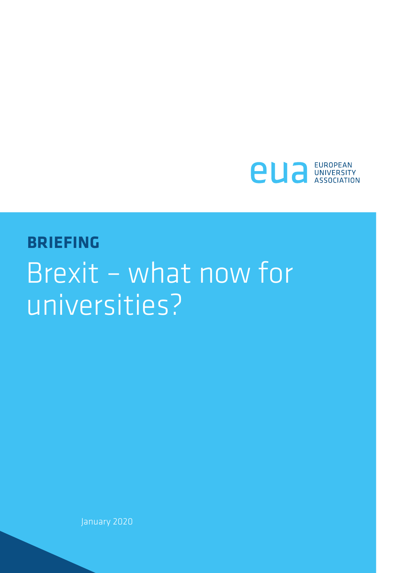

## **BRIEFING** Brexit – what now for universities?

January 2020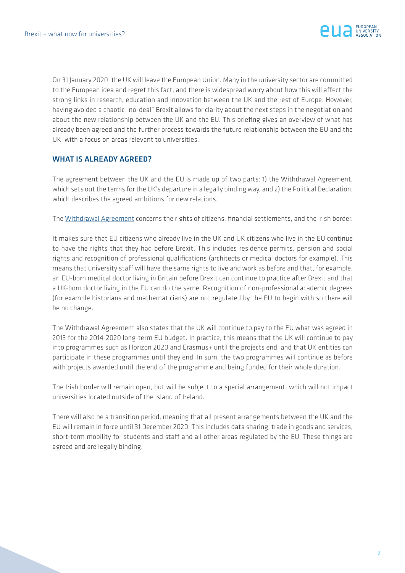

On 31 January 2020, the UK will leave the European Union. Many in the university sector are committed to the European idea and regret this fact, and there is widespread worry about how this will affect the strong links in research, education and innovation between the UK and the rest of Europe. However, having avoided a chaotic "no-deal" Brexit allows for clarity about the next steps in the negotiation and about the new relationship between the UK and the EU. This briefing gives an overview of what has already been agreed and the further process towards the future relationship between the EU and the UK, with a focus on areas relevant to universities.

## WHAT IS ALREADY AGREED?

The agreement between the UK and the EU is made up of two parts: 1) the Withdrawal Agreement, which sets out the terms for the UK's departure in a legally binding way, and 2) the Political Declaration, which describes the agreed ambitions for new relations.

The [Withdrawal Agreement](https://ec.europa.eu/commission/sites/beta-political/files/consolidated_withdrawal_agreement.pdf) concerns the rights of citizens, financial settlements, and the Irish border.

It makes sure that EU citizens who already live in the UK and UK citizens who live in the EU continue to have the rights that they had before Brexit. This includes residence permits, pension and social rights and recognition of professional qualifications (architects or medical doctors for example). This means that university staff will have the same rights to live and work as before and that, for example, an EU-born medical doctor living in Britain before Brexit can continue to practice after Brexit and that a UK-born doctor living in the EU can do the same. Recognition of non-professional academic degrees (for example historians and mathematicians) are not regulated by the EU to begin with so there will be no change.

The Withdrawal Agreement also states that the UK will continue to pay to the EU what was agreed in 2013 for the 2014-2020 long-term EU budget. In practice, this means that the UK will continue to pay into programmes such as Horizon 2020 and Erasmus+ until the projects end, and that UK entities can participate in these programmes until they end. In sum, the two programmes will continue as before with projects awarded until the end of the programme and being funded for their whole duration.

The Irish border will remain open, but will be subject to a special arrangement, which will not impact universities located outside of the island of Ireland.

There will also be a transition period, meaning that all present arrangements between the UK and the EU will remain in force until 31 December 2020. This includes data sharing, trade in goods and services, short-term mobility for students and staff and all other areas regulated by the EU. These things are agreed and are legally binding.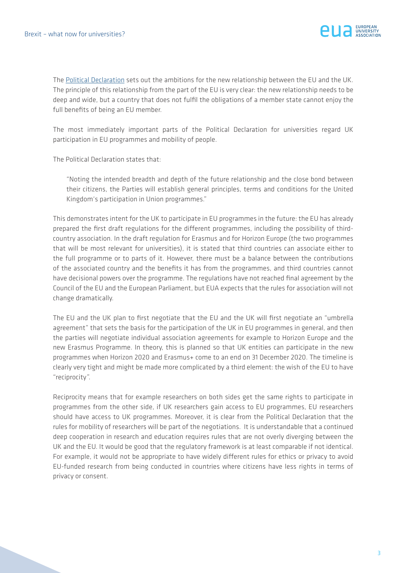

The [Political Declaration](https://ec.europa.eu/commission/sites/beta-political/files/revised_political_declaration.pdf) sets out the ambitions for the new relationship between the EU and the UK. The principle of this relationship from the part of the EU is very clear: the new relationship needs to be deep and wide, but a country that does not fulfil the obligations of a member state cannot enjoy the full benefits of being an EU member.

The most immediately important parts of the Political Declaration for universities regard UK participation in EU programmes and mobility of people.

The Political Declaration states that:

"Noting the intended breadth and depth of the future relationship and the close bond between their citizens, the Parties will establish general principles, terms and conditions for the United Kingdom's participation in Union programmes."

This demonstrates intent for the UK to participate in EU programmes in the future: the EU has already prepared the first draft regulations for the different programmes, including the possibility of thirdcountry association. In the draft regulation for Erasmus and for Horizon Europe (the two programmes that will be most relevant for universities), it is stated that third countries can associate either to the full programme or to parts of it. However, there must be a balance between the contributions of the associated country and the benefits it has from the programmes, and third countries cannot have decisional powers over the programme. The regulations have not reached final agreement by the Council of the EU and the European Parliament, but EUA expects that the rules for association will not change dramatically.

The EU and the UK plan to first negotiate that the EU and the UK will first negotiate an "umbrella agreement" that sets the basis for the participation of the UK in EU programmes in general, and then the parties will negotiate individual association agreements for example to Horizon Europe and the new Erasmus Programme. In theory, this is planned so that UK entities can participate in the new programmes when Horizon 2020 and Erasmus+ come to an end on 31 December 2020. The timeline is clearly very tight and might be made more complicated by a third element: the wish of the EU to have "reciprocity".

Reciprocity means that for example researchers on both sides get the same rights to participate in programmes from the other side, if UK researchers gain access to EU programmes, EU researchers should have access to UK programmes. Moreover, it is clear from the Political Declaration that the rules for mobility of researchers will be part of the negotiations. It is understandable that a continued deep cooperation in research and education requires rules that are not overly diverging between the UK and the EU. It would be good that the regulatory framework is at least comparable if not identical. For example, it would not be appropriate to have widely different rules for ethics or privacy to avoid EU-funded research from being conducted in countries where citizens have less rights in terms of privacy or consent.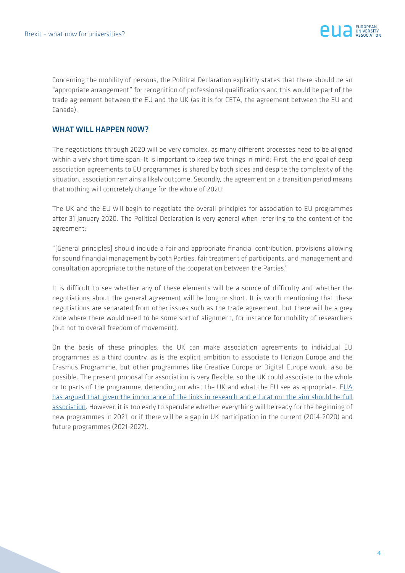

Concerning the mobility of persons, the Political Declaration explicitly states that there should be an "appropriate arrangement" for recognition of professional qualifications and this would be part of the trade agreement between the EU and the UK (as it is for CETA, the agreement between the EU and Canada).

## WHAT WILL HAPPEN NOW?

The negotiations through 2020 will be very complex, as many different processes need to be aligned within a very short time span. It is important to keep two things in mind: First, the end goal of deep association agreements to EU programmes is shared by both sides and despite the complexity of the situation, association remains a likely outcome. Secondly, the agreement on a transition period means that nothing will concretely change for the whole of 2020.

The UK and the EU will begin to negotiate the overall principles for association to EU programmes after 31 January 2020. The Political Declaration is very general when referring to the content of the agreement:

"[General principles] should include a fair and appropriate financial contribution, provisions allowing for sound financial management by both Parties, fair treatment of participants, and management and consultation appropriate to the nature of the cooperation between the Parties."

It is difficult to see whether any of these elements will be a source of difficulty and whether the negotiations about the general agreement will be long or short. It is worth mentioning that these negotiations are separated from other issues such as the trade agreement, but there will be a grey zone where there would need to be some sort of alignment, for instance for mobility of researchers (but not to overall freedom of movement).

On the basis of these principles, the UK can make association agreements to individual EU programmes as a third country, as is the explicit ambition to associate to Horizon Europe and the Erasmus Programme, but other programmes like Creative Europe or Digital Europe would also be possible. The present proposal for association is very flexible, so the UK could associate to the whole or to parts of the programme, depending on what the UK and what the EU see as appropriate. [EUA](https://eua.eu/downloads/publications/eua calls for comprehensive view on academic cooperation in brexit negotiations.pdf) [has argued that given the importance of the links in research and education, the aim should be full](https://eua.eu/downloads/publications/eua calls for comprehensive view on academic cooperation in brexit negotiations.pdf) [association](https://eua.eu/downloads/publications/eua calls for comprehensive view on academic cooperation in brexit negotiations.pdf). However, it is too early to speculate whether everything will be ready for the beginning of new programmes in 2021, or if there will be a gap in UK participation in the current (2014-2020) and future programmes (2021-2027).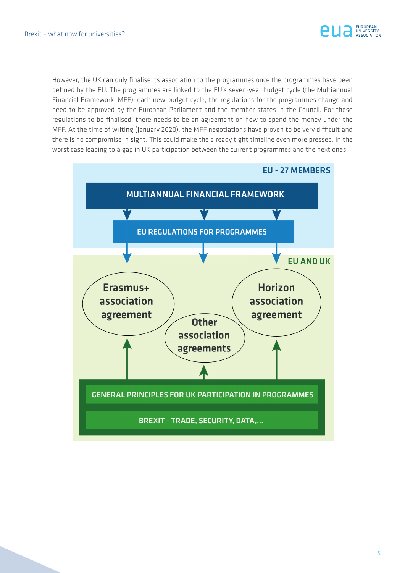

However, the UK can only finalise its association to the programmes once the programmes have been defined by the EU. The programmes are linked to the EU's seven-year budget cycle (the Multiannual Financial Framework, MFF): each new budget cycle, the regulations for the programmes change and need to be approved by the European Parliament and the member states in the Council. For these regulations to be finalised, there needs to be an agreement on how to spend the money under the MFF. At the time of writing (January 2020), the MFF negotiations have proven to be very difficult and there is no compromise in sight. This could make the already tight timeline even more pressed, in the worst case leading to a gap in UK participation between the current programmes and the next ones.

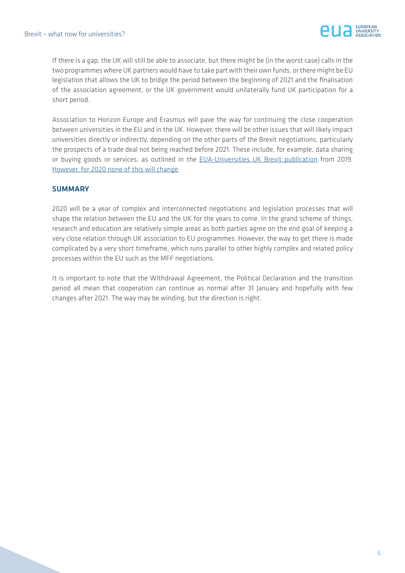

If there is a gap, the UK will still be able to associate, but there might be (in the worst case) calls in the two programmes where UK partners would have to take part with their own funds, or there might be EU legislation that allows the UK to bridge the period between the beginning of 2021 and the finalisation of the association agreement, or the UK government would unilaterally fund UK participation for a short period.

Association to Horizon Europe and Erasmus will pave the way for continuing the close cooperation between universities in the EU and in the UK. However, there will be other issues that will likely impact universities directly or indirectly, depending on the other parts of the Brexit negotiations, particularly the prospects of a trade deal not being reached before 2021. These include, for example, data sharing or buying goods or services, as outlined in the [EUA-Universities UK Brexit publication](https://eua.eu/downloads/publications/how universities can prepare for a no-deal scenario-updated.pdf) from 2019. [However, for 2020 none of this will change.](https://www.universitiesuk.ac.uk/policy-and-analysis/brexit/Pages/brexit-transition-period.aspx)

## **SUMMARY**

2020 will be a year of complex and interconnected negotiations and legislation processes that will shape the relation between the EU and the UK for the years to come. In the grand scheme of things, research and education are relatively simple areas as both parties agree on the end goal of keeping a very close relation through UK association to EU programmes. However, the way to get there is made complicated by a very short timeframe, which runs parallel to other highly complex and related policy processes within the EU such as the MFF negotiations.

It is important to note that the Withdrawal Agreement, the Political Declaration and the transition period all mean that cooperation can continue as normal after 31 January and hopefully with few changes after 2021. The way may be winding, but the direction is right.